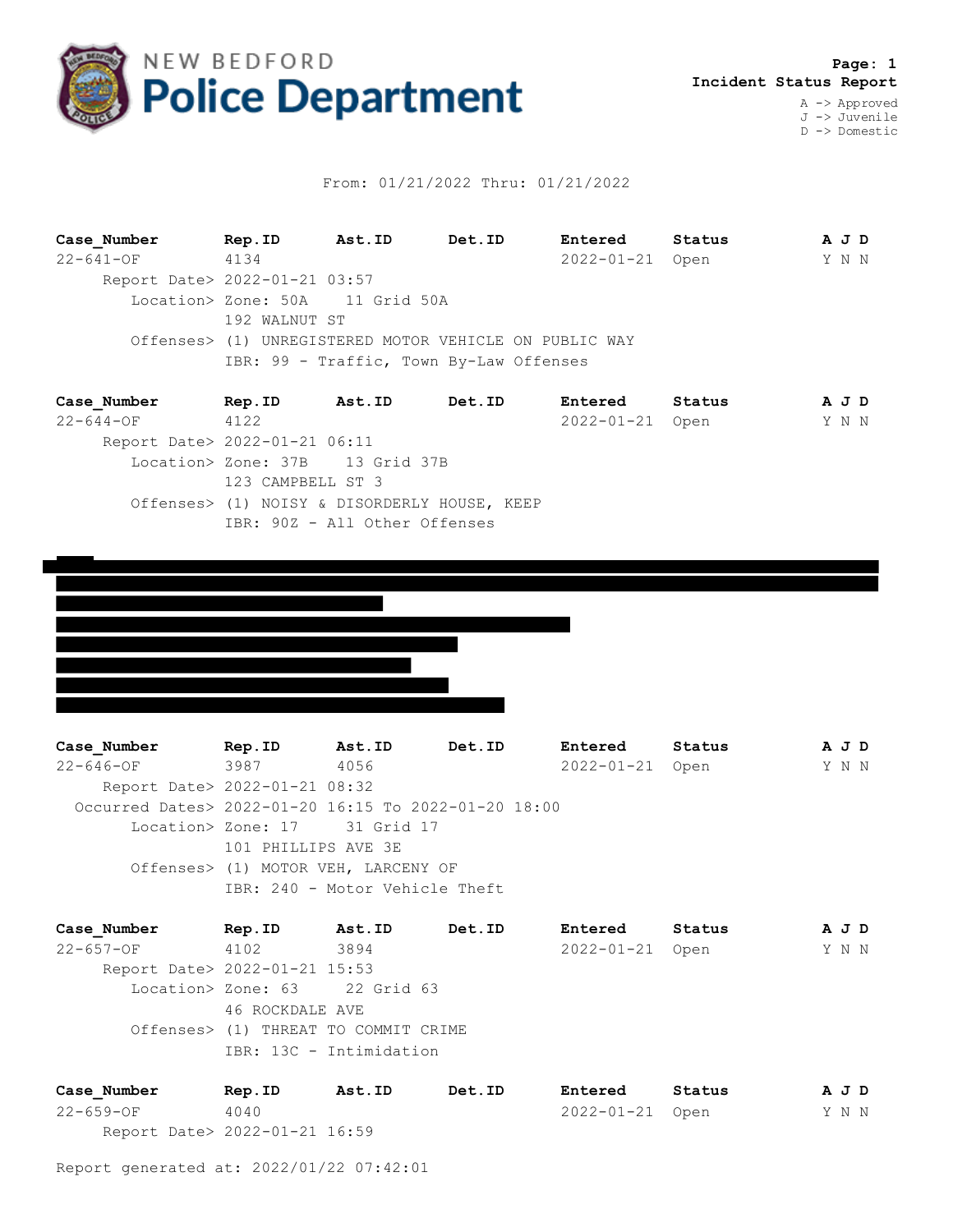

## From: 01/21/2022 Thru: 01/21/2022

**Case\_Number Rep.ID Ast.ID Det.ID Entered Status A J D** 22-641-OF 4134 2022-01-21 Open Y N N Report Date> 2022-01-21 03:57 Location> Zone: 50A 11 Grid 50A 192 WALNUT ST Offenses> (1) UNREGISTERED MOTOR VEHICLE ON PUBLIC WAY IBR: 99 - Traffic, Town By-Law Offenses

| Case Number                   | Rep.ID            | Ast.ID                                       | Det.ID | Entered         | Status | A J D |  |
|-------------------------------|-------------------|----------------------------------------------|--------|-----------------|--------|-------|--|
| $22 - 644 - 0F$               | 4122              |                                              |        | 2022-01-21 Open |        | Y N N |  |
| Report Date> 2022-01-21 06:11 |                   |                                              |        |                 |        |       |  |
|                               |                   | Location> Zone: 37B 13 Grid 37B              |        |                 |        |       |  |
|                               | 123 CAMPBELL ST 3 |                                              |        |                 |        |       |  |
|                               |                   | Offenses> (1) NOISY & DISORDERLY HOUSE, KEEP |        |                 |        |       |  |
|                               |                   | IBR: 90Z - All Other Offenses                |        |                 |        |       |  |
|                               |                   |                                              |        |                 |        |       |  |



**Case\_Number Rep.ID Ast.ID Det.ID Entered Status A J D** 22-646-OF 3987 4056 2022-01-21 Open Y N N Report Date> 2022-01-21 08:32 Occurred Dates> 2022-01-20 16:15 To 2022-01-20 18:00 Location> Zone: 17 31 Grid 17 101 PHILLIPS AVE 3E Offenses> (1) MOTOR VEH, LARCENY OF IBR: 240 - Motor Vehicle Theft

**Case\_Number Rep.ID Ast.ID Det.ID Entered Status A J D** 22-657-OF 4102 3894 2022-01-21 Open Y N N Report Date> 2022-01-21 15:53 Location> Zone: 63 22 Grid 63 46 ROCKDALE AVE Offenses> (1) THREAT TO COMMIT CRIME IBR: 13C - Intimidation

| Case Number                   | Rep.ID | Ast.ID | Det.ID | Entered         | Status | AJD   |  |
|-------------------------------|--------|--------|--------|-----------------|--------|-------|--|
| $22 - 659 - 0F$               | 4040   |        |        | 2022-01-21 Open |        | Y N N |  |
| Report Date> 2022-01-21 16:59 |        |        |        |                 |        |       |  |